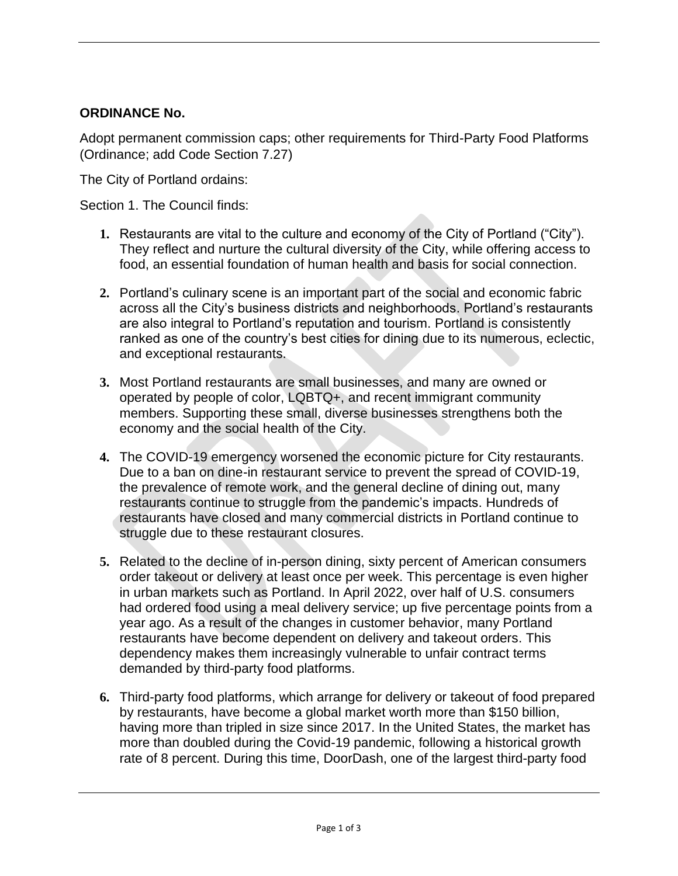### **ORDINANCE No.**

Adopt permanent commission caps; other requirements for Third-Party Food Platforms (Ordinance; add Code Section 7.27)

The City of Portland ordains:

Section 1. The Council finds:

- **1.** Restaurants are vital to the culture and economy of the City of Portland ("City"). They reflect and nurture the cultural diversity of the City, while offering access to food, an essential foundation of human health and basis for social connection.
- **2.** Portland's culinary scene is an important part of the social and economic fabric across all the City's business districts and neighborhoods. Portland's restaurants are also integral to Portland's reputation and tourism. Portland is consistently ranked as one of the country's best cities for dining due to its numerous, eclectic, and exceptional restaurants.
- **3.** Most Portland restaurants are small businesses, and many are owned or operated by people of color, LQBTQ+, and recent immigrant community members. Supporting these small, diverse businesses strengthens both the economy and the social health of the City.
- **4.** The COVID-19 emergency worsened the economic picture for City restaurants. Due to a ban on dine-in restaurant service to prevent the spread of COVID-19, the prevalence of remote work, and the general decline of dining out, many restaurants continue to struggle from the pandemic's impacts. Hundreds of restaurants have closed and many commercial districts in Portland continue to struggle due to these restaurant closures.
- **5.** Related to the decline of in-person dining, sixty percent of American consumers order takeout or delivery at least once per week. This percentage is even higher in urban markets such as Portland. In April 2022, over half of U.S. consumers had ordered food using a meal delivery service; up five percentage points from a year ago. As a result of the changes in customer behavior, many Portland restaurants have become dependent on delivery and takeout orders. This dependency makes them increasingly vulnerable to unfair contract terms demanded by third-party food platforms.
- **6.** Third-party food platforms, which arrange for delivery or takeout of food prepared by restaurants, have become a global market worth more than \$150 billion, having more than tripled in size since 2017. In the United States, the market has more than doubled during the Covid-19 pandemic, following a historical growth rate of 8 percent. During this time, DoorDash, one of the largest third-party food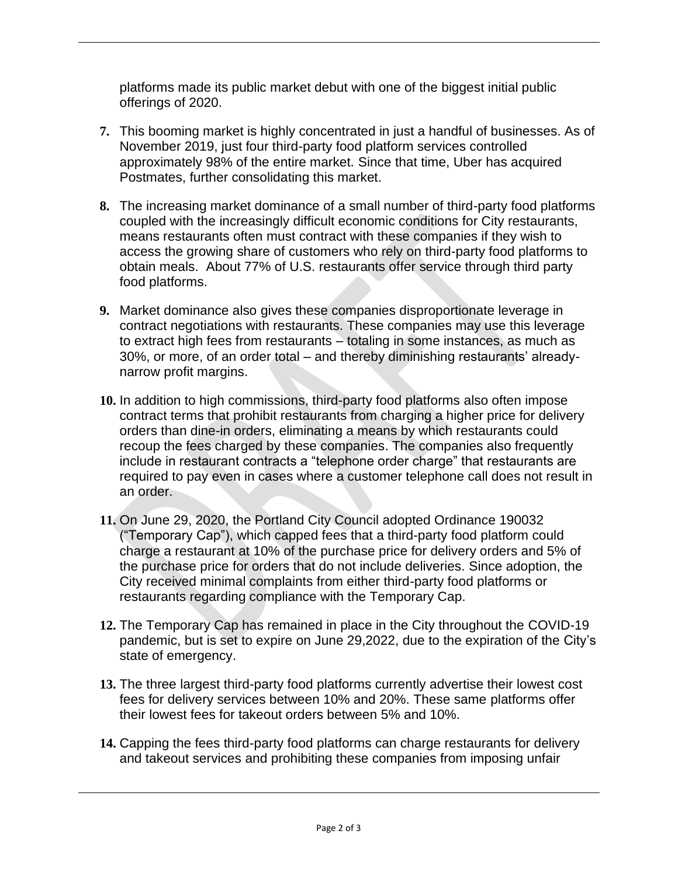platforms made its public market debut with one of the biggest initial public offerings of 2020.

- **7.** This booming market is highly concentrated in just a handful of businesses. As of November 2019, just four third-party food platform services controlled approximately 98% of the entire market. Since that time, Uber has acquired Postmates, further consolidating this market.
- **8.** The increasing market dominance of a small number of third-party food platforms coupled with the increasingly difficult economic conditions for City restaurants, means restaurants often must contract with these companies if they wish to access the growing share of customers who rely on third-party food platforms to obtain meals. About 77% of U.S. restaurants offer service through third party food platforms.
- **9.** Market dominance also gives these companies disproportionate leverage in contract negotiations with restaurants. These companies may use this leverage to extract high fees from restaurants – totaling in some instances, as much as 30%, or more, of an order total – and thereby diminishing restaurants' alreadynarrow profit margins.
- **10.** In addition to high commissions, third-party food platforms also often impose contract terms that prohibit restaurants from charging a higher price for delivery orders than dine-in orders, eliminating a means by which restaurants could recoup the fees charged by these companies. The companies also frequently include in restaurant contracts a "telephone order charge" that restaurants are required to pay even in cases where a customer telephone call does not result in an order.
- **11.** On June 29, 2020, the Portland City Council adopted Ordinance 190032 ("Temporary Cap"), which capped fees that a third-party food platform could charge a restaurant at 10% of the purchase price for delivery orders and 5% of the purchase price for orders that do not include deliveries. Since adoption, the City received minimal complaints from either third-party food platforms or restaurants regarding compliance with the Temporary Cap.
- **12.** The Temporary Cap has remained in place in the City throughout the COVID-19 pandemic, but is set to expire on June 29,2022, due to the expiration of the City's state of emergency.
- **13.** The three largest third-party food platforms currently advertise their lowest cost fees for delivery services between 10% and 20%. These same platforms offer their lowest fees for takeout orders between 5% and 10%.
- **14.** Capping the fees third-party food platforms can charge restaurants for delivery and takeout services and prohibiting these companies from imposing unfair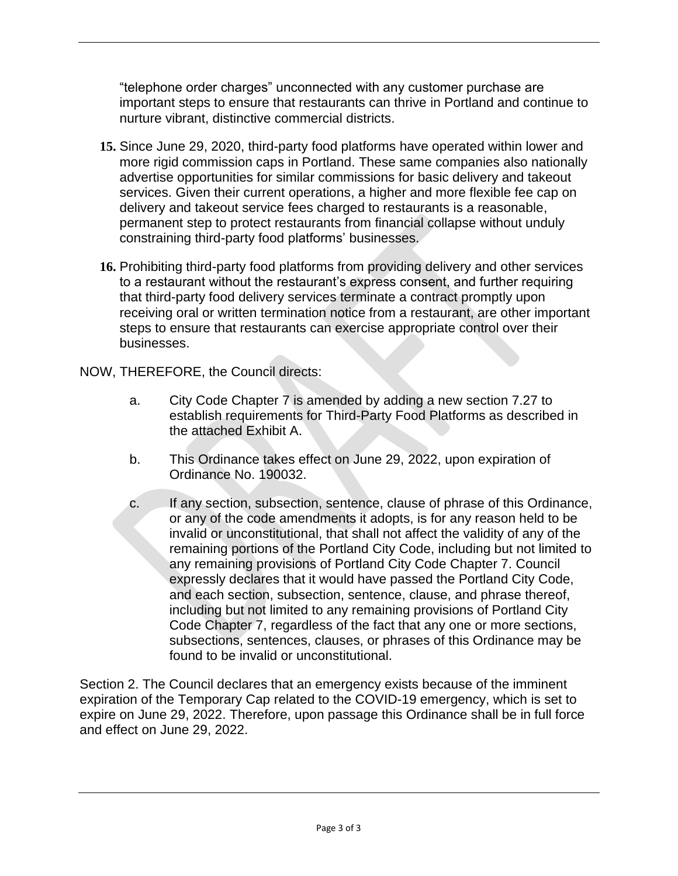"telephone order charges" unconnected with any customer purchase are important steps to ensure that restaurants can thrive in Portland and continue to nurture vibrant, distinctive commercial districts.

- **15.** Since June 29, 2020, third-party food platforms have operated within lower and more rigid commission caps in Portland. These same companies also nationally advertise opportunities for similar commissions for basic delivery and takeout services. Given their current operations, a higher and more flexible fee cap on delivery and takeout service fees charged to restaurants is a reasonable, permanent step to protect restaurants from financial collapse without unduly constraining third-party food platforms' businesses.
- **16.** Prohibiting third-party food platforms from providing delivery and other services to a restaurant without the restaurant's express consent, and further requiring that third-party food delivery services terminate a contract promptly upon receiving oral or written termination notice from a restaurant, are other important steps to ensure that restaurants can exercise appropriate control over their businesses.

NOW, THEREFORE, the Council directs:

- a. City Code Chapter 7 is amended by adding a new section 7.27 to establish requirements for Third-Party Food Platforms as described in the attached Exhibit A.
- b. This Ordinance takes effect on June 29, 2022, upon expiration of Ordinance No. 190032.
- c. If any section, subsection, sentence, clause of phrase of this Ordinance, or any of the code amendments it adopts, is for any reason held to be invalid or unconstitutional, that shall not affect the validity of any of the remaining portions of the Portland City Code, including but not limited to any remaining provisions of Portland City Code Chapter 7. Council expressly declares that it would have passed the Portland City Code, and each section, subsection, sentence, clause, and phrase thereof, including but not limited to any remaining provisions of Portland City Code Chapter 7, regardless of the fact that any one or more sections, subsections, sentences, clauses, or phrases of this Ordinance may be found to be invalid or unconstitutional.

Section 2. The Council declares that an emergency exists because of the imminent expiration of the Temporary Cap related to the COVID-19 emergency, which is set to expire on June 29, 2022. Therefore, upon passage this Ordinance shall be in full force and effect on June 29, 2022.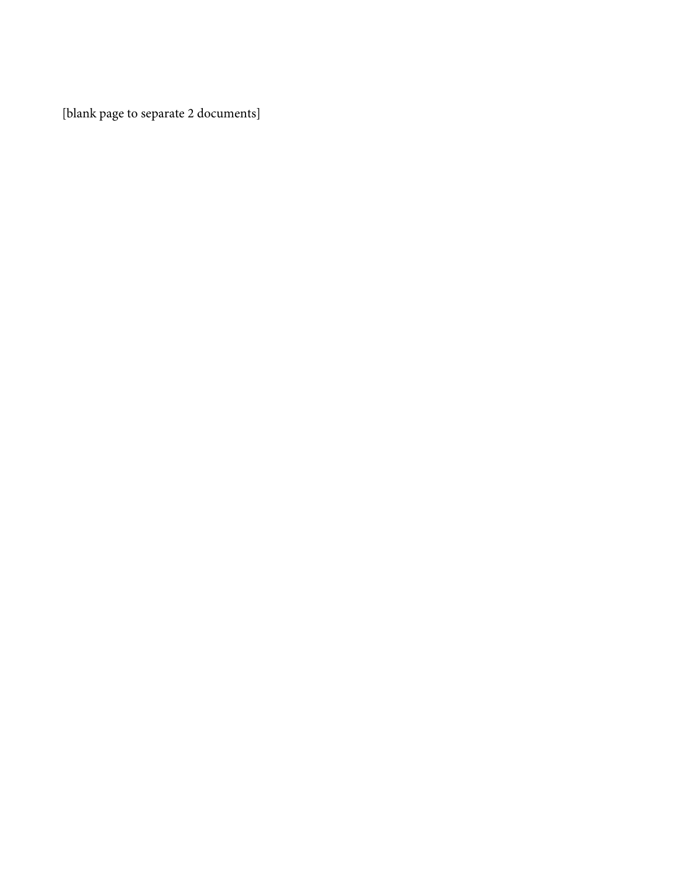[blank page to separate 2 documents]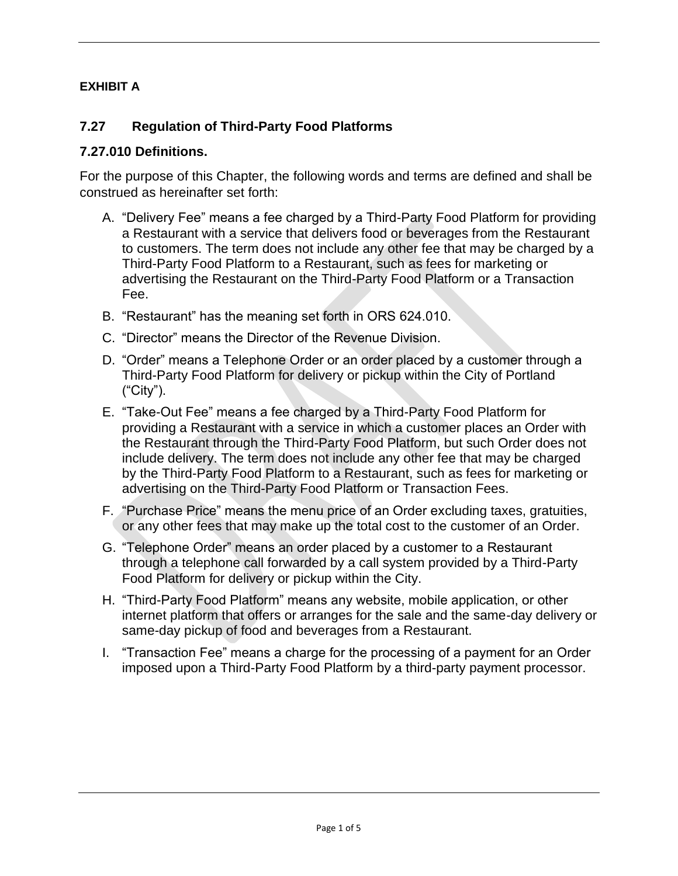# **EXHIBIT A**

# **7.27 Regulation of Third-Party Food Platforms**

### **7.27.010 Definitions.**

For the purpose of this Chapter, the following words and terms are defined and shall be construed as hereinafter set forth:

- A. "Delivery Fee" means a fee charged by a Third-Party Food Platform for providing a Restaurant with a service that delivers food or beverages from the Restaurant to customers. The term does not include any other fee that may be charged by a Third-Party Food Platform to a Restaurant, such as fees for marketing or advertising the Restaurant on the Third-Party Food Platform or a Transaction Fee.
- B. "Restaurant" has the meaning set forth in ORS 624.010.
- C. "Director" means the Director of the Revenue Division.
- D. "Order" means a Telephone Order or an order placed by a customer through a Third-Party Food Platform for delivery or pickup within the City of Portland ("City").
- E. "Take-Out Fee" means a fee charged by a Third-Party Food Platform for providing a Restaurant with a service in which a customer places an Order with the Restaurant through the Third-Party Food Platform, but such Order does not include delivery. The term does not include any other fee that may be charged by the Third-Party Food Platform to a Restaurant, such as fees for marketing or advertising on the Third-Party Food Platform or Transaction Fees.
- F. "Purchase Price" means the menu price of an Order excluding taxes, gratuities, or any other fees that may make up the total cost to the customer of an Order.
- G. "Telephone Order" means an order placed by a customer to a Restaurant through a telephone call forwarded by a call system provided by a Third-Party Food Platform for delivery or pickup within the City.
- H. "Third-Party Food Platform" means any website, mobile application, or other internet platform that offers or arranges for the sale and the same-day delivery or same-day pickup of food and beverages from a Restaurant.
- I. "Transaction Fee" means a charge for the processing of a payment for an Order imposed upon a Third-Party Food Platform by a third-party payment processor.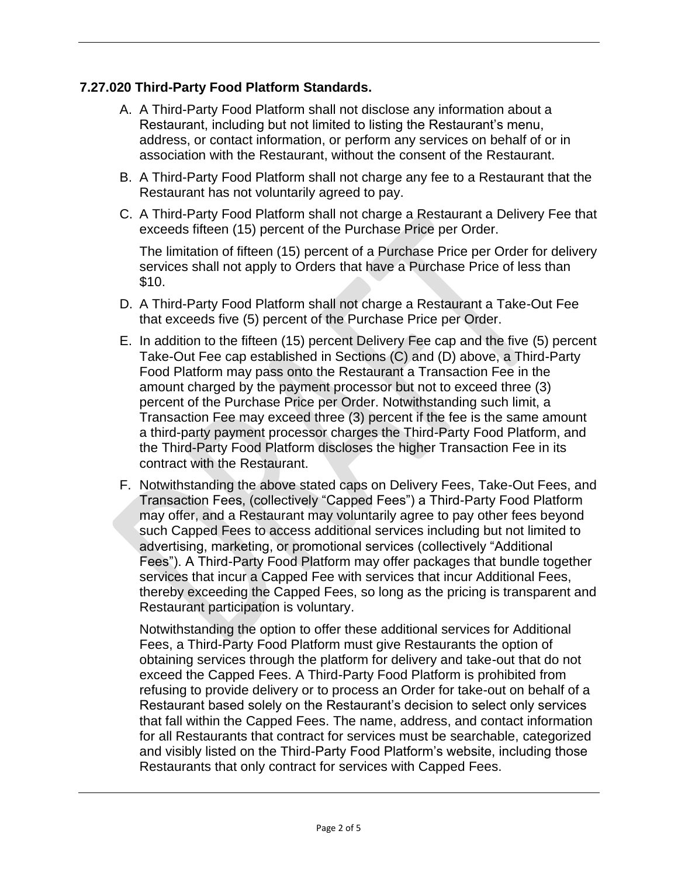# **7.27.020 Third-Party Food Platform Standards.**

- A. A Third-Party Food Platform shall not disclose any information about a Restaurant, including but not limited to listing the Restaurant's menu, address, or contact information, or perform any services on behalf of or in association with the Restaurant, without the consent of the Restaurant.
- B. A Third-Party Food Platform shall not charge any fee to a Restaurant that the Restaurant has not voluntarily agreed to pay.
- C. A Third-Party Food Platform shall not charge a Restaurant a Delivery Fee that exceeds fifteen (15) percent of the Purchase Price per Order.

The limitation of fifteen (15) percent of a Purchase Price per Order for delivery services shall not apply to Orders that have a Purchase Price of less than \$10.

- D. A Third-Party Food Platform shall not charge a Restaurant a Take-Out Fee that exceeds five (5) percent of the Purchase Price per Order.
- E. In addition to the fifteen (15) percent Delivery Fee cap and the five (5) percent Take-Out Fee cap established in Sections (C) and (D) above, a Third-Party Food Platform may pass onto the Restaurant a Transaction Fee in the amount charged by the payment processor but not to exceed three (3) percent of the Purchase Price per Order. Notwithstanding such limit, a Transaction Fee may exceed three (3) percent if the fee is the same amount a third-party payment processor charges the Third-Party Food Platform, and the Third-Party Food Platform discloses the higher Transaction Fee in its contract with the Restaurant.
- F. Notwithstanding the above stated caps on Delivery Fees, Take-Out Fees, and Transaction Fees, (collectively "Capped Fees") a Third-Party Food Platform may offer, and a Restaurant may voluntarily agree to pay other fees beyond such Capped Fees to access additional services including but not limited to advertising, marketing, or promotional services (collectively "Additional Fees"). A Third-Party Food Platform may offer packages that bundle together services that incur a Capped Fee with services that incur Additional Fees, thereby exceeding the Capped Fees, so long as the pricing is transparent and Restaurant participation is voluntary.

Notwithstanding the option to offer these additional services for Additional Fees, a Third-Party Food Platform must give Restaurants the option of obtaining services through the platform for delivery and take-out that do not exceed the Capped Fees. A Third-Party Food Platform is prohibited from refusing to provide delivery or to process an Order for take-out on behalf of a Restaurant based solely on the Restaurant's decision to select only services that fall within the Capped Fees. The name, address, and contact information for all Restaurants that contract for services must be searchable, categorized and visibly listed on the Third-Party Food Platform's website, including those Restaurants that only contract for services with Capped Fees.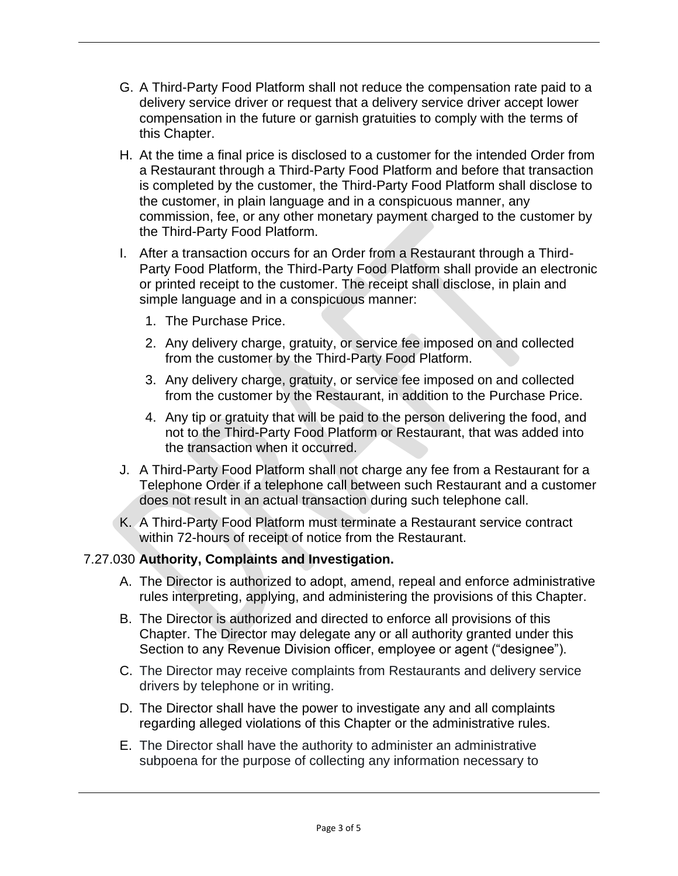- G. A Third-Party Food Platform shall not reduce the compensation rate paid to a delivery service driver or request that a delivery service driver accept lower compensation in the future or garnish gratuities to comply with the terms of this Chapter.
- H. At the time a final price is disclosed to a customer for the intended Order from a Restaurant through a Third-Party Food Platform and before that transaction is completed by the customer, the Third-Party Food Platform shall disclose to the customer, in plain language and in a conspicuous manner, any commission, fee, or any other monetary payment charged to the customer by the Third-Party Food Platform.
- I. After a transaction occurs for an Order from a Restaurant through a Third-Party Food Platform, the Third-Party Food Platform shall provide an electronic or printed receipt to the customer. The receipt shall disclose, in plain and simple language and in a conspicuous manner:
	- 1. The Purchase Price.
	- 2. Any delivery charge, gratuity, or service fee imposed on and collected from the customer by the Third-Party Food Platform.
	- 3. Any delivery charge, gratuity, or service fee imposed on and collected from the customer by the Restaurant, in addition to the Purchase Price.
	- 4. Any tip or gratuity that will be paid to the person delivering the food, and not to the Third-Party Food Platform or Restaurant, that was added into the transaction when it occurred.
- J. A Third-Party Food Platform shall not charge any fee from a Restaurant for a Telephone Order if a telephone call between such Restaurant and a customer does not result in an actual transaction during such telephone call.
- K. A Third-Party Food Platform must terminate a Restaurant service contract within 72-hours of receipt of notice from the Restaurant.

# 7.27.030 **Authority, Complaints and Investigation.**

- A. The Director is authorized to adopt, amend, repeal and enforce administrative rules interpreting, applying, and administering the provisions of this Chapter.
- B. The Director is authorized and directed to enforce all provisions of this Chapter. The Director may delegate any or all authority granted under this Section to any Revenue Division officer, employee or agent ("designee").
- C. The Director may receive complaints from Restaurants and delivery service drivers by telephone or in writing.
- D. The Director shall have the power to investigate any and all complaints regarding alleged violations of this Chapter or the administrative rules.
- E. The Director shall have the authority to administer an administrative subpoena for the purpose of collecting any information necessary to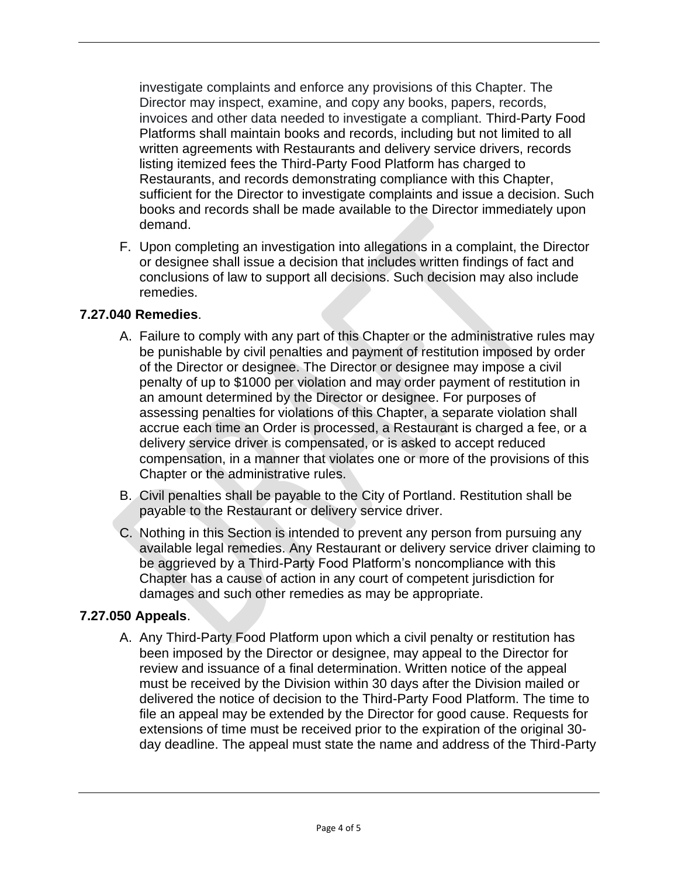investigate complaints and enforce any provisions of this Chapter. The Director may inspect, examine, and copy any books, papers, records, invoices and other data needed to investigate a compliant. Third-Party Food Platforms shall maintain books and records, including but not limited to all written agreements with Restaurants and delivery service drivers, records listing itemized fees the Third-Party Food Platform has charged to Restaurants, and records demonstrating compliance with this Chapter, sufficient for the Director to investigate complaints and issue a decision. Such books and records shall be made available to the Director immediately upon demand.

F. Upon completing an investigation into allegations in a complaint, the Director or designee shall issue a decision that includes written findings of fact and conclusions of law to support all decisions. Such decision may also include remedies.

# **7.27.040 Remedies**.

- A. Failure to comply with any part of this Chapter or the administrative rules may be punishable by civil penalties and payment of restitution imposed by order of the Director or designee. The Director or designee may impose a civil penalty of up to \$1000 per violation and may order payment of restitution in an amount determined by the Director or designee. For purposes of assessing penalties for violations of this Chapter, a separate violation shall accrue each time an Order is processed, a Restaurant is charged a fee, or a delivery service driver is compensated, or is asked to accept reduced compensation, in a manner that violates one or more of the provisions of this Chapter or the administrative rules.
- B. Civil penalties shall be payable to the City of Portland. Restitution shall be payable to the Restaurant or delivery service driver.
- C. Nothing in this Section is intended to prevent any person from pursuing any available legal remedies. Any Restaurant or delivery service driver claiming to be aggrieved by a Third-Party Food Platform's noncompliance with this Chapter has a cause of action in any court of competent jurisdiction for damages and such other remedies as may be appropriate.

#### **7.27.050 Appeals**.

A. Any Third-Party Food Platform upon which a civil penalty or restitution has been imposed by the Director or designee, may appeal to the Director for review and issuance of a final determination. Written notice of the appeal must be received by the Division within 30 days after the Division mailed or delivered the notice of decision to the Third-Party Food Platform. The time to file an appeal may be extended by the Director for good cause. Requests for extensions of time must be received prior to the expiration of the original 30 day deadline. The appeal must state the name and address of the Third-Party